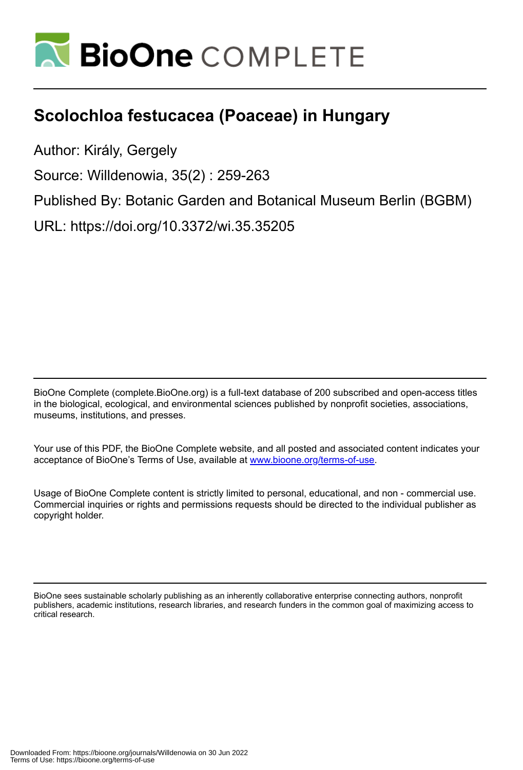

# **Scolochloa festucacea (Poaceae) in Hungary**

Author: Király, Gergely

Source: Willdenowia, 35(2) : 259-263

Published By: Botanic Garden and Botanical Museum Berlin (BGBM)

URL: https://doi.org/10.3372/wi.35.35205

BioOne Complete (complete.BioOne.org) is a full-text database of 200 subscribed and open-access titles in the biological, ecological, and environmental sciences published by nonprofit societies, associations, museums, institutions, and presses.

Your use of this PDF, the BioOne Complete website, and all posted and associated content indicates your acceptance of BioOne's Terms of Use, available at www.bioone.org/terms-of-use.

Usage of BioOne Complete content is strictly limited to personal, educational, and non - commercial use. Commercial inquiries or rights and permissions requests should be directed to the individual publisher as copyright holder.

BioOne sees sustainable scholarly publishing as an inherently collaborative enterprise connecting authors, nonprofit publishers, academic institutions, research libraries, and research funders in the common goal of maximizing access to critical research.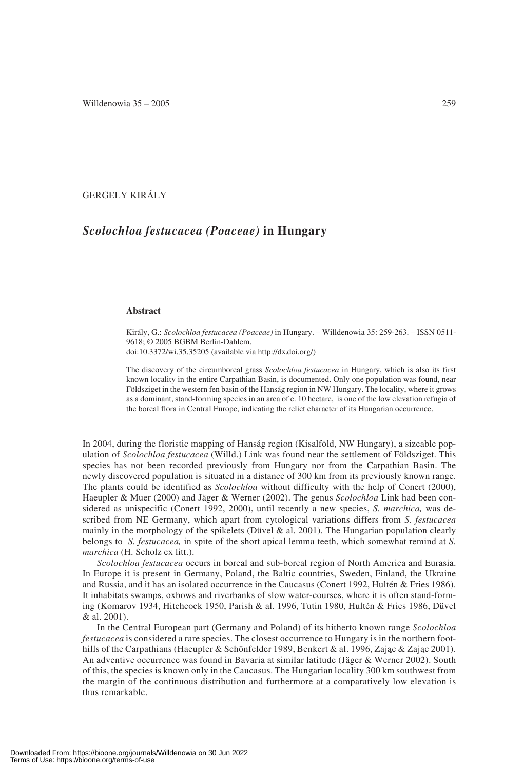## GERGELY KIRÁLY

# *Scolochloa festucacea (Poaceae)* **in Hungary**

#### **Abstract**

Király, G.: *Scolochloa festucacea (Poaceae)* in Hungary. – Willdenowia 35: 259-263. – ISSN 0511- 9618; © 2005 BGBM Berlin-Dahlem.

doi:10.3372/wi.35.35205 (available via http://dx.doi.org/)

The discovery of the circumboreal grass *Scolochloa festucacea* in Hungary, which is also its first known locality in the entire Carpathian Basin, is documented. Only one population was found, near Földsziget in the western fen basin of the Hanság region in NW Hungary. The locality, where it grows as a dominant, stand-forming species in an area of c. 10 hectare, is one of the low elevation refugia of the boreal flora in Central Europe, indicating the relict character of its Hungarian occurrence.

In 2004, during the floristic mapping of Hanság region (Kisalföld, NW Hungary), a sizeable population of *Scolochloa festucacea* (Willd.) Link was found near the settlement of Földsziget. This species has not been recorded previously from Hungary nor from the Carpathian Basin. The newly discovered population is situated in a distance of 300 km from its previously known range. The plants could be identified as *Scolochloa* without difficulty with the help of Conert (2000), Haeupler & Muer (2000) and Jäger & Werner (2002). The genus *Scolochloa* Link had been considered as unispecific (Conert 1992, 2000), until recently a new species, *S. marchica,* was described from NE Germany, which apart from cytological variations differs from *S. festucacea* mainly in the morphology of the spikelets (Düvel & al. 2001). The Hungarian population clearly belongs to *S. festucacea,* in spite of the short apical lemma teeth, which somewhat remind at *S. marchica* (H. Scholz ex litt.).

*Scolochloa festucacea* occurs in boreal and sub-boreal region of North America and Eurasia. In Europe it is present in Germany, Poland, the Baltic countries, Sweden, Finland, the Ukraine and Russia, and it has an isolated occurrence in the Caucasus (Conert 1992, Hultén & Fries 1986). It inhabitats swamps, oxbows and riverbanks of slow water-courses, where it is often stand-forming (Komarov 1934, Hitchcock 1950, Parish & al. 1996, Tutin 1980, Hultén & Fries 1986, Düvel & al. 2001).

In the Central European part (Germany and Poland) of its hitherto known range *Scolochloa festucacea* is considered a rare species. The closest occurrence to Hungary is in the northern foothills of the Carpathians (Haeupler & Schönfelder 1989, Benkert & al. 1996, Zajac & Zajac 2001). An adventive occurrence was found in Bavaria at similar latitude (Jäger & Werner 2002). South of this, the species is known only in the Caucasus. The Hungarian locality 300 km southwest from the margin of the continuous distribution and furthermore at a comparatively low elevation is thus remarkable.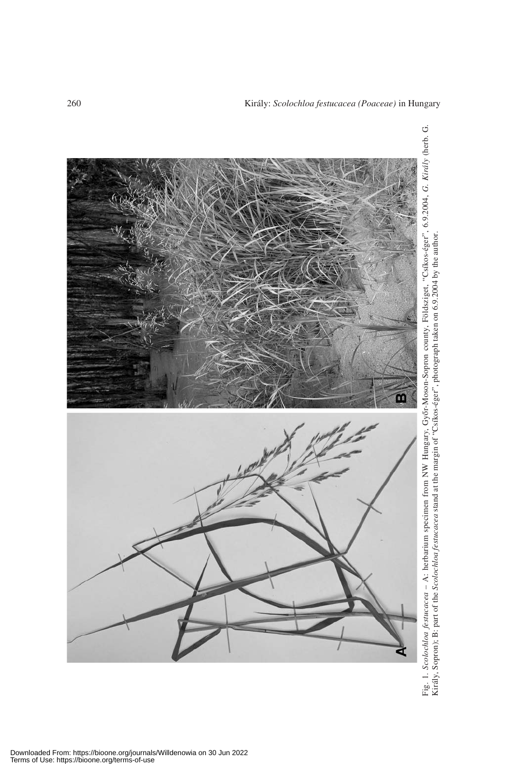

260 Király: *Scolochloa festucacea (Poaceae)* in Hungary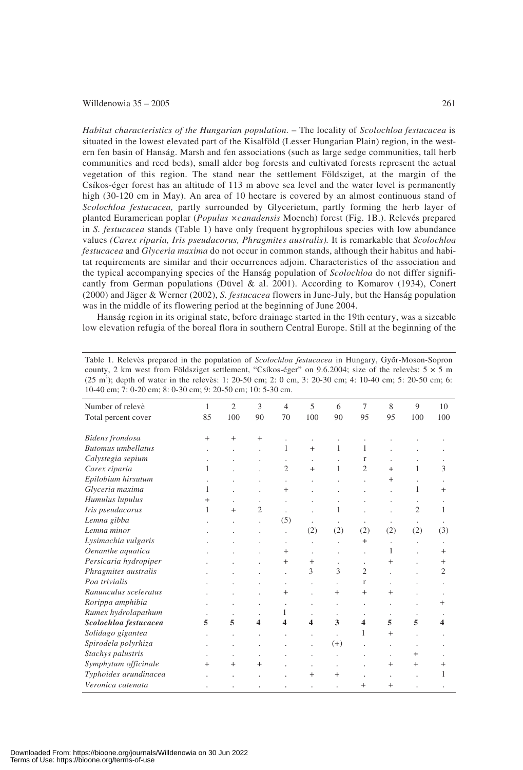### Willdenowia  $35 - 2005$  261

*Habitat characteristics of the Hungarian population.* – The locality of *Scolochloa festucacea* is situated in the lowest elevated part of the Kisalföld (Lesser Hungarian Plain) region, in the western fen basin of Hanság. Marsh and fen associations (such as large sedge communities, tall herb communities and reed beds), small alder bog forests and cultivated forests represent the actual vegetation of this region. The stand near the settlement Földsziget, at the margin of the Csíkos-éger forest has an altitude of 113 m above sea level and the water level is permanently high (30-120 cm in May). An area of 10 hectare is covered by an almost continuous stand of *Scolochloa festucacea,* partly surrounded by Glycerietum, partly forming the herb layer of planted Euramerican poplar (*Populus ×canadensis* Moench) forest (Fig. 1B.). Relevés prepared in *S. festucacea* stands (Table 1) have only frequent hygrophilous species with low abundance values *(Carex riparia, Iris pseudacorus, Phragmites australis).* It is remarkable that *Scolochloa festucacea* and *Glyceria maxima* do not occur in common stands, although their habitus and habitat requirements are similar and their occurrences adjoin. Characteristics of the association and the typical accompanying species of the Hanság population of *Scolochloa* do not differ significantly from German populations (Düvel & al. 2001). According to Komarov (1934), Conert (2000) and Jäger & Werner (2002), *S. festucacea* flowers in June-July, but the Hanság population was in the middle of its flowering period at the beginning of June 2004.

Hanság region in its original state, before drainage started in the 19th century, was a sizeable low elevation refugia of the boreal flora in southern Central Europe. Still at the beginning of the

| Table 1. Relevès prepared in the population of <i>Scolochloa festucacea</i> in Hungary, Győr-Moson-Sopron           |
|---------------------------------------------------------------------------------------------------------------------|
| county, 2 km west from Földsziget settlement, "Csíkos-éger" on 9.6.2004; size of the releves: $5 \times 5$ m        |
| $(25 \text{ m}^2)$ ; depth of water in the releves: 1: 20-50 cm; 2: 0 cm, 3: 20-30 cm; 4: 10-40 cm; 5: 20-50 cm; 6: |
| 10-40 cm: 7: 0-20 cm: 8: 0-30 cm: 9: 20-50 cm: 10: 5-30 cm.                                                         |

| Number of releve          | 1      | $\overline{2}$ | 3                | $\overline{4}$       | 5              | 6                    | 7                    | 8                    | $\mathbf{Q}$   | 10             |
|---------------------------|--------|----------------|------------------|----------------------|----------------|----------------------|----------------------|----------------------|----------------|----------------|
| Total percent cover       | 85     | 100            | 90               | 70                   | 100            | 90                   | 95                   | 95                   | 100            | 100            |
| Bidens frondosa           | $^{+}$ | $^{+}$         | $^{+}$           |                      |                |                      |                      |                      |                |                |
| <b>Butomus</b> umbellatus |        |                |                  | 1                    | $^{+}$         | 1                    | 1                    |                      |                |                |
| Calystegia sepium         |        |                |                  | $\cdot$              | $\cdot$        |                      | r                    |                      |                |                |
| Carex riparia             | 1      |                |                  | $\overline{c}$       | $^{+}$         | 1                    | $\overline{c}$       | $^{+}$               | 1              | 3              |
| Epilobium hirsutum        |        |                |                  | $\cdot$              |                |                      |                      | $^{+}$               |                |                |
| Glyceria maxima           | 1      |                |                  | $^{+}$               |                |                      |                      |                      | 1              | $^{+}$         |
| Humulus lupulus           | $\pm$  |                |                  | ÷.                   |                |                      |                      |                      |                |                |
| Iris pseudacorus          | 1      | $+$            | $\overline{2}$   |                      |                | 1                    |                      |                      | $\overline{c}$ | 1              |
| Lemna gibba               |        |                |                  | (5)                  |                |                      |                      |                      |                |                |
| Lemna minor               |        |                |                  | $\ddot{\phantom{0}}$ | (2)            | (2)                  | (2)                  | (2)                  | (2)            | (3)            |
| Lysimachia vulgaris       |        |                |                  | $\cdot$              |                |                      | $+$                  | $\ddot{\phantom{0}}$ |                |                |
| Oenanthe aquatica         |        |                |                  | $^{+}$               |                |                      |                      | 1                    |                | $^{+}$         |
| Persicaria hydropiper     |        |                |                  | $\pm$                | $\overline{+}$ |                      | $\ddot{\phantom{0}}$ | $^+$                 |                | $+$            |
| Phragmites australis      |        |                |                  | ł.                   | 3              | $\mathcal{E}$        | $\overline{2}$       |                      |                | $\overline{c}$ |
| Poa trivialis             |        |                |                  | ×                    |                |                      | $\mathbf{r}$         |                      |                |                |
| Ranunculus sceleratus     |        |                |                  | $^{+}$               |                | $+$                  | $^{+}$               | $^{+}$               |                |                |
| Rorippa amphibia          |        |                |                  | $\ddot{\phantom{a}}$ |                | $\ddot{\phantom{0}}$ | $\cdot$              | $\lambda$            |                | $^+$           |
| Rumex hydrolapathum       |        |                |                  | 1                    |                |                      |                      |                      |                |                |
| Scolochloa festucacea     | 5      | 5              | $\boldsymbol{4}$ | $\boldsymbol{4}$     | 4              | 3                    | $\boldsymbol{4}$     | 5                    | 5              | 4              |
| Solidago gigantea         |        |                |                  |                      | ä,             | $\ddot{\phantom{0}}$ | 1                    | $^{+}$               |                |                |
| Spirodela polyrhiza       |        |                |                  |                      |                | $(+)$                |                      |                      |                |                |
| Stachys palustris         |        |                |                  |                      |                |                      |                      |                      | $^+$           |                |
| Symphytum officinale      | $^{+}$ | $^{+}$         | $^{+}$           |                      | ٠              | ٠                    |                      | $^{+}$               | $^{+}$         | $^{+}$         |
| Typhoides arundinacea     |        |                |                  |                      | $^{+}$         | $+$                  |                      |                      |                | 1              |
| Veronica catenata         |        |                |                  |                      |                |                      | $^{+}$               | $+$                  |                |                |
|                           |        |                |                  |                      |                |                      |                      |                      |                |                |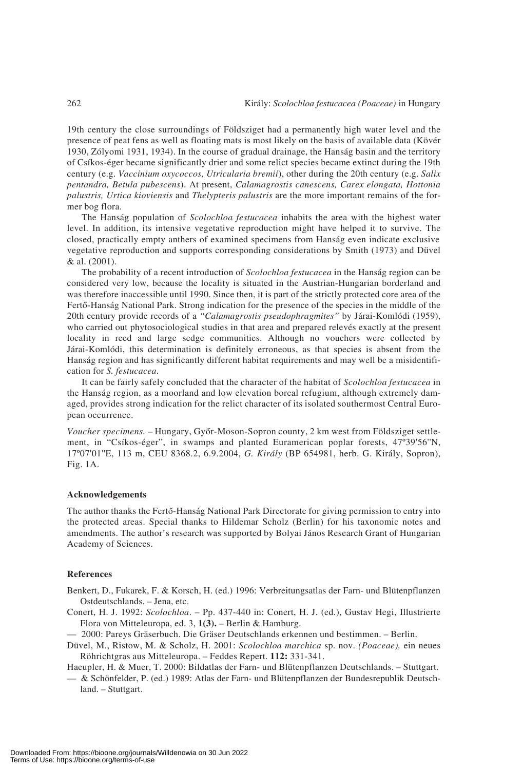19th century the close surroundings of Földsziget had a permanently high water level and the presence of peat fens as well as floating mats is most likely on the basis of available data (Kövér 1930, Zólyomi 1931, 1934). In the course of gradual drainage, the Hanság basin and the territory of Csíkos-éger became significantly drier and some relict species became extinct during the 19th century (e.g. *Vaccinium oxycoccos, Utricularia bremii*), other during the 20th century (e.g. *Salix pentandra, Betula pubescens*). At present, *Calamagrostis canescens, Carex elongata, Hottonia palustris, Urtica kioviensis* and *Thelypteris palustris* are the more important remains of the former bog flora.

The Hanság population of *Scolochloa festucacea* inhabits the area with the highest water level. In addition, its intensive vegetative reproduction might have helped it to survive. The closed, practically empty anthers of examined specimens from Hanság even indicate exclusive vegetative reproduction and supports corresponding considerations by Smith (1973) and Düvel & al. (2001).

The probability of a recent introduction of *Scolochloa festucacea* in the Hanság region can be considered very low, because the locality is situated in the Austrian-Hungarian borderland and was therefore inaccessible until 1990. Since then, it is part of the strictly protected core area of the Fertő-Hanság National Park. Strong indication for the presence of the species in the middle of the 20th century provide records of a *"Calamagrostis pseudophragmites"* by Járai-Komlódi (1959), who carried out phytosociological studies in that area and prepared relevés exactly at the present locality in reed and large sedge communities. Although no vouchers were collected by Járai-Komlódi, this determination is definitely erroneous, as that species is absent from the Hanság region and has significantly different habitat requirements and may well be a misidentification for *S. festucacea*.

It can be fairly safely concluded that the character of the habitat of *Scolochloa festucacea* in the Hanság region, as a moorland and low elevation boreal refugium, although extremely damaged, provides strong indication for the relict character of its isolated southermost Central European occurrence.

*Voucher specimens.* – Hungary, Győr-Moson-Sopron county, 2 km west from Földsziget settlement, in "Csíkos-éger", in swamps and planted Euramerican poplar forests, 47º39'56''N, 17º07'01''E, 113 m, CEU 8368.2, 6.9.2004, *G. Király* (BP 654981, herb. G. Király, Sopron), Fig. 1A.

#### **Acknowledgements**

The author thanks the Fertő-Hanság National Park Directorate for giving permission to entry into the protected areas. Special thanks to Hildemar Scholz (Berlin) for his taxonomic notes and amendments. The author's research was supported by Bolyai János Research Grant of Hungarian Academy of Sciences.

#### **References**

Benkert, D., Fukarek, F. & Korsch, H. (ed.) 1996: Verbreitungsatlas der Farn- und Blütenpflanzen Ostdeutschlands. – Jena, etc.

Conert, H. J. 1992: *Scolochloa*. – Pp. 437-440 in: Conert, H. J. (ed.), Gustav Hegi, Illustrierte Flora von Mitteleuropa, ed. 3, **1(3).** – Berlin & Hamburg.

— 2000: Pareys Gräserbuch. Die Gräser Deutschlands erkennen und bestimmen. – Berlin.

- Düvel, M., Ristow, M. & Scholz, H. 2001: *Scolochloa marchica* sp. nov. *(Poaceae),* ein neues Röhrichtgras aus Mitteleuropa. – Feddes Repert. **112:** 331-341.
- Haeupler, H. & Muer, T. 2000: Bildatlas der Farn- und Blütenpflanzen Deutschlands. Stuttgart. — & Schönfelder, P. (ed.) 1989: Atlas der Farn- und Blütenpflanzen der Bundesrepublik Deutschland. – Stuttgart.